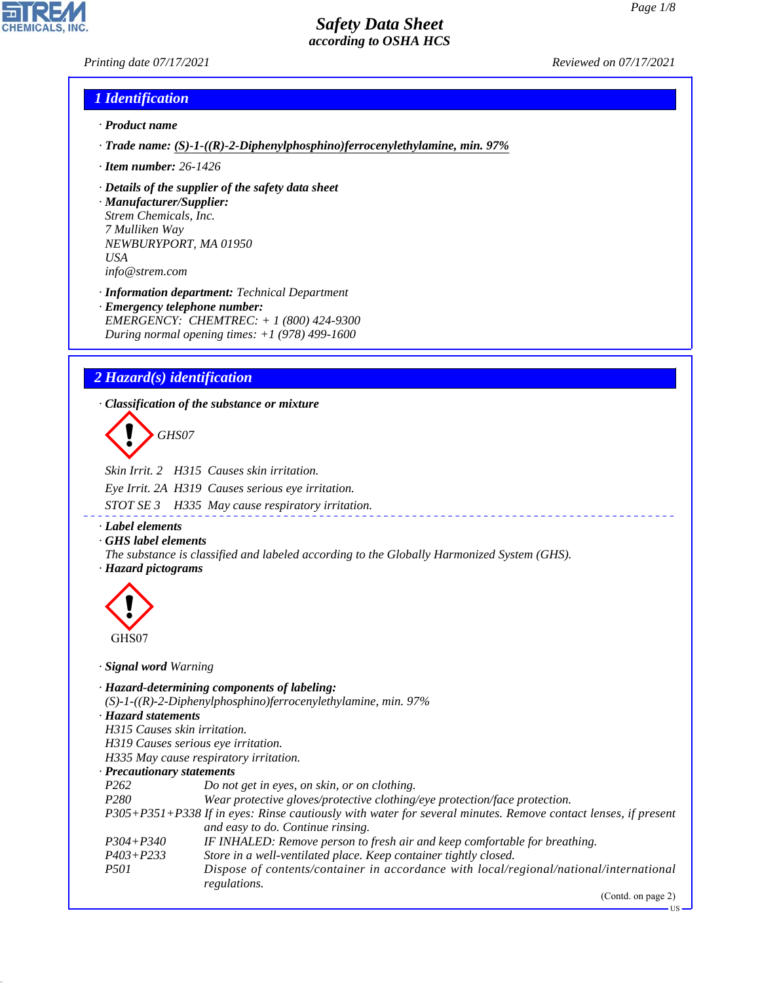*Printing date 07/17/2021 Reviewed on 07/17/2021*

## *1 Identification*

- *· Product name*
- *· Trade name: (S)-1-((R)-2-Diphenylphosphino)ferrocenylethylamine, min. 97%*
- *· Item number: 26-1426*
- *· Details of the supplier of the safety data sheet*
- *· Manufacturer/Supplier: Strem Chemicals, Inc. 7 Mulliken Way NEWBURYPORT, MA 01950 USA info@strem.com*
- *· Information department: Technical Department · Emergency telephone number: EMERGENCY: CHEMTREC: + 1 (800) 424-9300 During normal opening times: +1 (978) 499-1600*

# *2 Hazard(s) identification*

*· Classification of the substance or mixture*

d~*GHS07*

*Skin Irrit. 2 H315 Causes skin irritation. Eye Irrit. 2A H319 Causes serious eye irritation.*

*STOT SE 3 H335 May cause respiratory irritation.*

*· Label elements*

*· GHS label elements*

*The substance is classified and labeled according to the Globally Harmonized System (GHS). · Hazard pictograms*



44.1.1

*· Signal word Warning*

- *· Hazard-determining components of labeling: (S)-1-((R)-2-Diphenylphosphino)ferrocenylethylamine, min. 97% · Hazard statements H315 Causes skin irritation. H319 Causes serious eye irritation. H335 May cause respiratory irritation. · Precautionary statements P262 Do not get in eyes, on skin, or on clothing.*
- *P280 Wear protective gloves/protective clothing/eye protection/face protection. P305+P351+P338 If in eyes: Rinse cautiously with water for several minutes. Remove contact lenses, if present and easy to do. Continue rinsing. P304+P340 IF INHALED: Remove person to fresh air and keep comfortable for breathing. P403+P233 Store in a well-ventilated place. Keep container tightly closed. P501 Dispose of contents/container in accordance with local/regional/national/international regulations.*

(Contd. on page 2)

US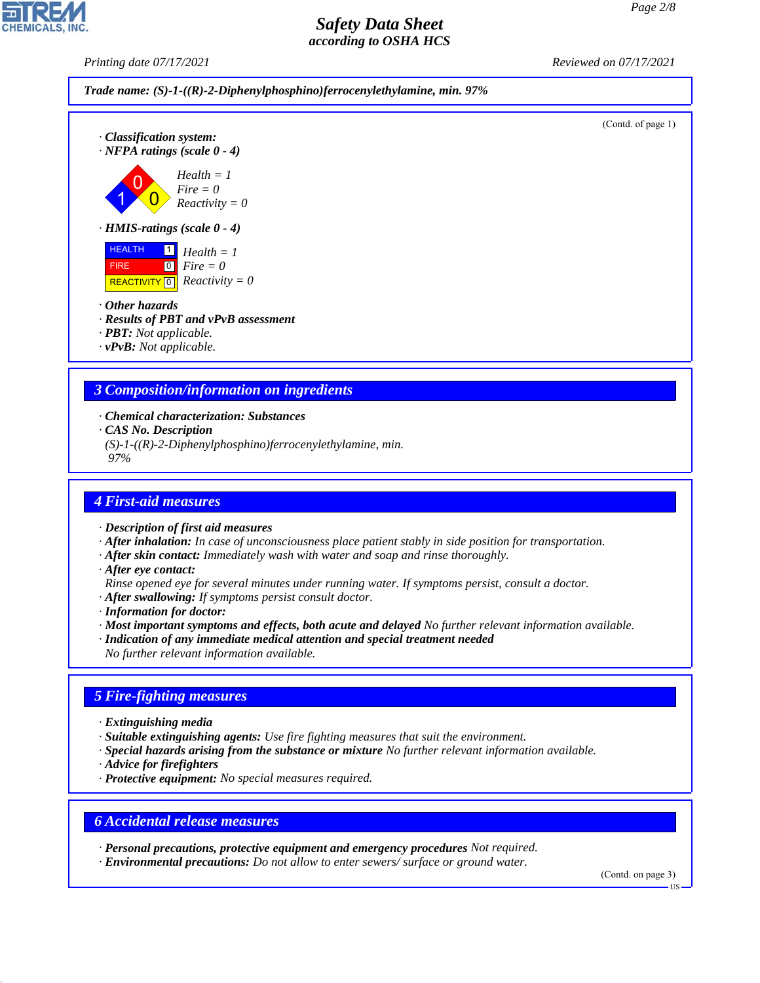*Printing date 07/17/2021 Reviewed on 07/17/2021*





- *· Other hazards*
- *· Results of PBT and vPvB assessment*
- *· PBT: Not applicable.*
- *· vPvB: Not applicable.*

## *3 Composition/information on ingredients*

- *· Chemical characterization: Substances*
- *· CAS No. Description*
- *(S)-1-((R)-2-Diphenylphosphino)ferrocenylethylamine, min.*

 *97%*

### *4 First-aid measures*

- *· Description of first aid measures*
- *· After inhalation: In case of unconsciousness place patient stably in side position for transportation.*
- *· After skin contact: Immediately wash with water and soap and rinse thoroughly.*
- *· After eye contact:*
- *Rinse opened eye for several minutes under running water. If symptoms persist, consult a doctor.*
- *· After swallowing: If symptoms persist consult doctor.*
- *· Information for doctor:*
- *· Most important symptoms and effects, both acute and delayed No further relevant information available.*
- *· Indication of any immediate medical attention and special treatment needed*
- *No further relevant information available.*

## *5 Fire-fighting measures*

- *· Extinguishing media*
- *· Suitable extinguishing agents: Use fire fighting measures that suit the environment.*
- *· Special hazards arising from the substance or mixture No further relevant information available.*
- *· Advice for firefighters*

44.1.1

*· Protective equipment: No special measures required.*

### *6 Accidental release measures*

- *· Personal precautions, protective equipment and emergency procedures Not required.*
- *· Environmental precautions: Do not allow to enter sewers/ surface or ground water.*

(Contd. on page 3)

US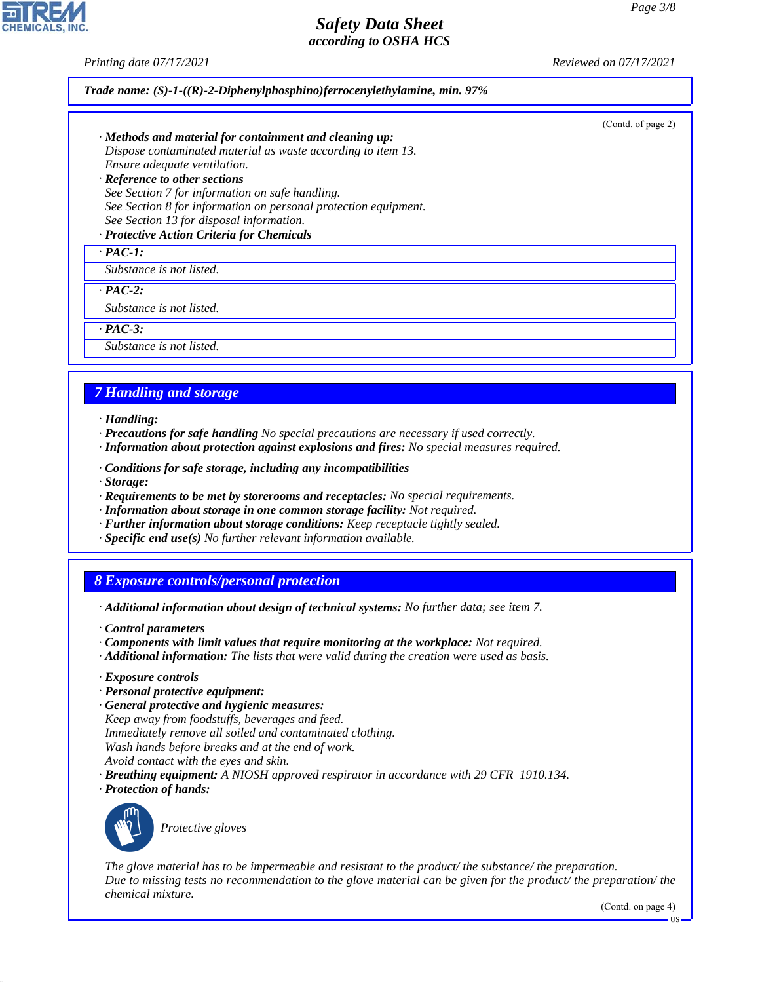*Printing date 07/17/2021 Reviewed on 07/17/2021*

#### *Trade name: (S)-1-((R)-2-Diphenylphosphino)ferrocenylethylamine, min. 97%*

(Contd. of page 2)

- *· Methods and material for containment and cleaning up: Dispose contaminated material as waste according to item 13. Ensure adequate ventilation. · Reference to other sections*
- *See Section 7 for information on safe handling. See Section 8 for information on personal protection equipment. See Section 13 for disposal information.*

## *· Protective Action Criteria for Chemicals*

*· PAC-1:*

*Substance is not listed.*

*· PAC-2:*

*Substance is not listed.*

*· PAC-3:*

*Substance is not listed.*

## *7 Handling and storage*

- *· Handling:*
- *· Precautions for safe handling No special precautions are necessary if used correctly.*
- *· Information about protection against explosions and fires: No special measures required.*
- *· Conditions for safe storage, including any incompatibilities*
- *· Storage:*
- *· Requirements to be met by storerooms and receptacles: No special requirements.*
- *· Information about storage in one common storage facility: Not required.*
- *· Further information about storage conditions: Keep receptacle tightly sealed.*
- *· Specific end use(s) No further relevant information available.*

### *8 Exposure controls/personal protection*

- *· Additional information about design of technical systems: No further data; see item 7.*
- *· Control parameters*
- *· Components with limit values that require monitoring at the workplace: Not required.*
- *· Additional information: The lists that were valid during the creation were used as basis.*
- *· Exposure controls*
- *· Personal protective equipment:*
- *· General protective and hygienic measures:*

*Keep away from foodstuffs, beverages and feed.*

*Immediately remove all soiled and contaminated clothing.*

- *Wash hands before breaks and at the end of work.*
- *Avoid contact with the eyes and skin.*
- *· Breathing equipment: A NIOSH approved respirator in accordance with 29 CFR 1910.134.*
- *· Protection of hands:*



44.1.1

\_S*Protective gloves*

*The glove material has to be impermeable and resistant to the product/ the substance/ the preparation. Due to missing tests no recommendation to the glove material can be given for the product/ the preparation/ the chemical mixture.*

(Contd. on page 4)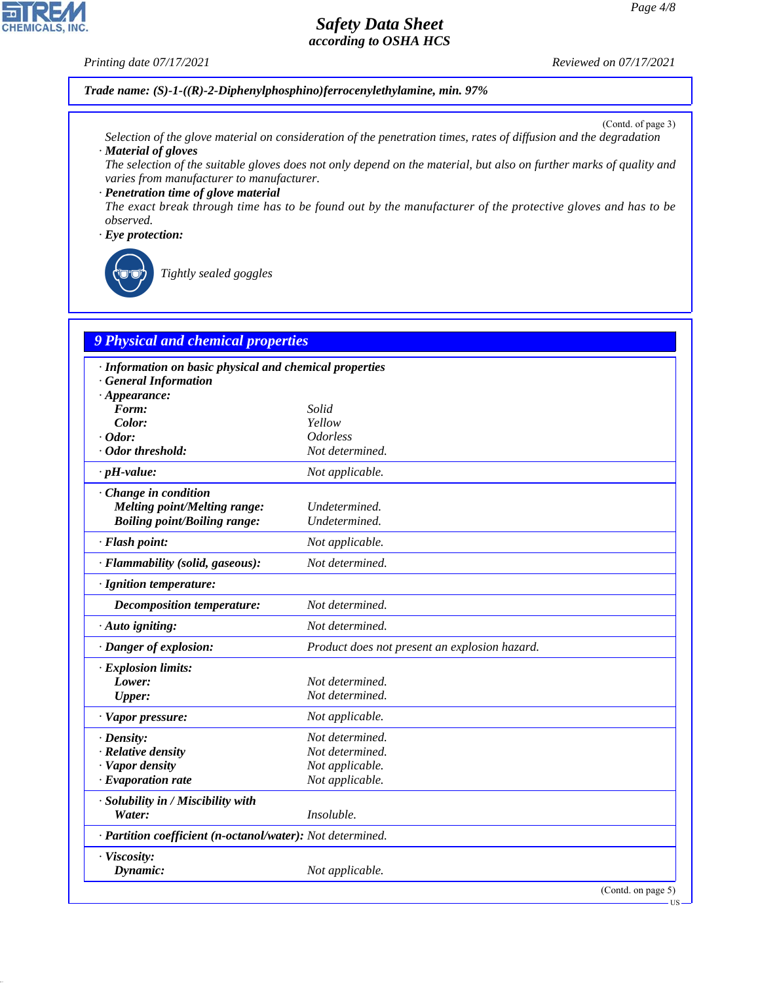### *Printing date 07/17/2021 Reviewed on 07/17/2021*

### *Trade name: (S)-1-((R)-2-Diphenylphosphino)ferrocenylethylamine, min. 97%*

(Contd. of page 3)

- *Selection of the glove material on consideration of the penetration times, rates of diffusion and the degradation · Material of gloves*
- *The selection of the suitable gloves does not only depend on the material, but also on further marks of quality and varies from manufacturer to manufacturer.*

*· Penetration time of glove material The exact break through time has to be found out by the manufacturer of the protective gloves and has to be observed.*

#### *· Eye protection:*



\_R*Tightly sealed goggles*

# *9 Physical and chemical properties*

| · Information on basic physical and chemical properties    |                                               |
|------------------------------------------------------------|-----------------------------------------------|
| <b>General Information</b>                                 |                                               |
| $\cdot$ Appearance:                                        |                                               |
| Form:                                                      | Solid<br>Yellow                               |
| Color:<br>$\cdot$ Odor:                                    | <i><u><b>Odorless</b></u></i>                 |
| · Odor threshold:                                          |                                               |
|                                                            | Not determined.                               |
| $\cdot$ pH-value:                                          | Not applicable.                               |
| Change in condition                                        |                                               |
| <b>Melting point/Melting range:</b>                        | Undetermined.                                 |
| <b>Boiling point/Boiling range:</b>                        | Undetermined.                                 |
| · Flash point:                                             | Not applicable.                               |
| · Flammability (solid, gaseous):                           | Not determined.                               |
| · Ignition temperature:                                    |                                               |
| <b>Decomposition temperature:</b>                          | Not determined.                               |
| · Auto igniting:                                           | Not determined.                               |
| · Danger of explosion:                                     | Product does not present an explosion hazard. |
| · Explosion limits:                                        |                                               |
| Lower:                                                     | Not determined.                               |
| <b>Upper:</b>                                              | Not determined.                               |
| · Vapor pressure:                                          | Not applicable.                               |
|                                                            |                                               |
| $\cdot$ Density:                                           | Not determined.                               |
| · Relative density                                         | Not determined.                               |
| · Vapor density                                            | Not applicable.                               |
| $\cdot$ Evaporation rate                                   | Not applicable.                               |
| · Solubility in / Miscibility with                         |                                               |
| Water:                                                     | Insoluble.                                    |
| · Partition coefficient (n-octanol/water): Not determined. |                                               |
| · Viscosity:                                               |                                               |
| Dynamic:                                                   | Not applicable.                               |
|                                                            | (Contd. on page 5)                            |
|                                                            | ·US                                           |

44.1.1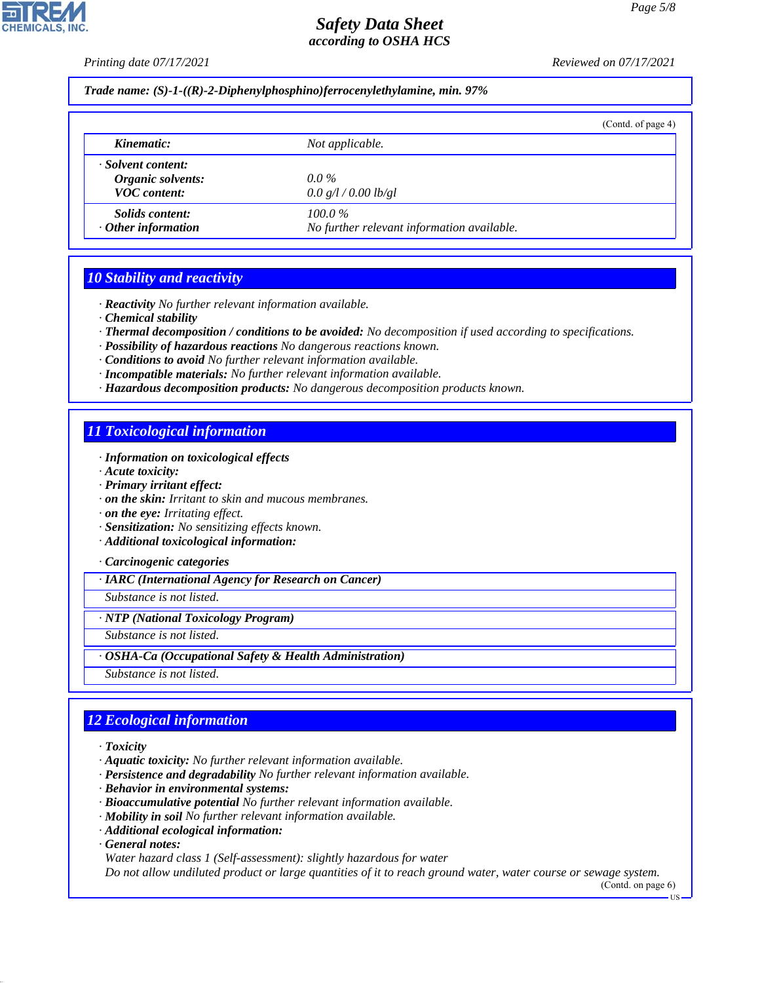*Printing date 07/17/2021 Reviewed on 07/17/2021*

*Trade name: (S)-1-((R)-2-Diphenylphosphino)ferrocenylethylamine, min. 97%*

|                                                                |                                                         | (Contd. of page 4) |
|----------------------------------------------------------------|---------------------------------------------------------|--------------------|
| Kinematic:                                                     | Not applicable.                                         |                    |
| · Solvent content:<br>Organic solvents:<br><b>VOC</b> content: | $0.0\%$<br>0.0 g/l / 0.00 lb/gl                         |                    |
| <i>Solids content:</i><br>$\cdot$ Other information            | $100.0\%$<br>No further relevant information available. |                    |

## *10 Stability and reactivity*

*· Reactivity No further relevant information available.*

*· Chemical stability*

*· Thermal decomposition / conditions to be avoided: No decomposition if used according to specifications.*

- *· Possibility of hazardous reactions No dangerous reactions known.*
- *· Conditions to avoid No further relevant information available.*
- *· Incompatible materials: No further relevant information available.*
- *· Hazardous decomposition products: No dangerous decomposition products known.*

## *11 Toxicological information*

- *· Information on toxicological effects*
- *· Acute toxicity:*
- *· Primary irritant effect:*
- *· on the skin: Irritant to skin and mucous membranes.*

*· on the eye: Irritating effect.*

- *· Sensitization: No sensitizing effects known.*
- *· Additional toxicological information:*

*· Carcinogenic categories*

*· IARC (International Agency for Research on Cancer)*

*Substance is not listed.*

*· NTP (National Toxicology Program)*

*Substance is not listed.*

*· OSHA-Ca (Occupational Safety & Health Administration)*

*Substance is not listed.*

# *12 Ecological information*

- *· Toxicity*
- *· Aquatic toxicity: No further relevant information available.*
- *· Persistence and degradability No further relevant information available.*
- *· Behavior in environmental systems:*
- *· Bioaccumulative potential No further relevant information available.*
- *· Mobility in soil No further relevant information available.*
- *· Additional ecological information:*
- *· General notes:*

44.1.1

*Water hazard class 1 (Self-assessment): slightly hazardous for water*

*Do not allow undiluted product or large quantities of it to reach ground water, water course or sewage system.*

(Contd. on page 6)

**HS** 

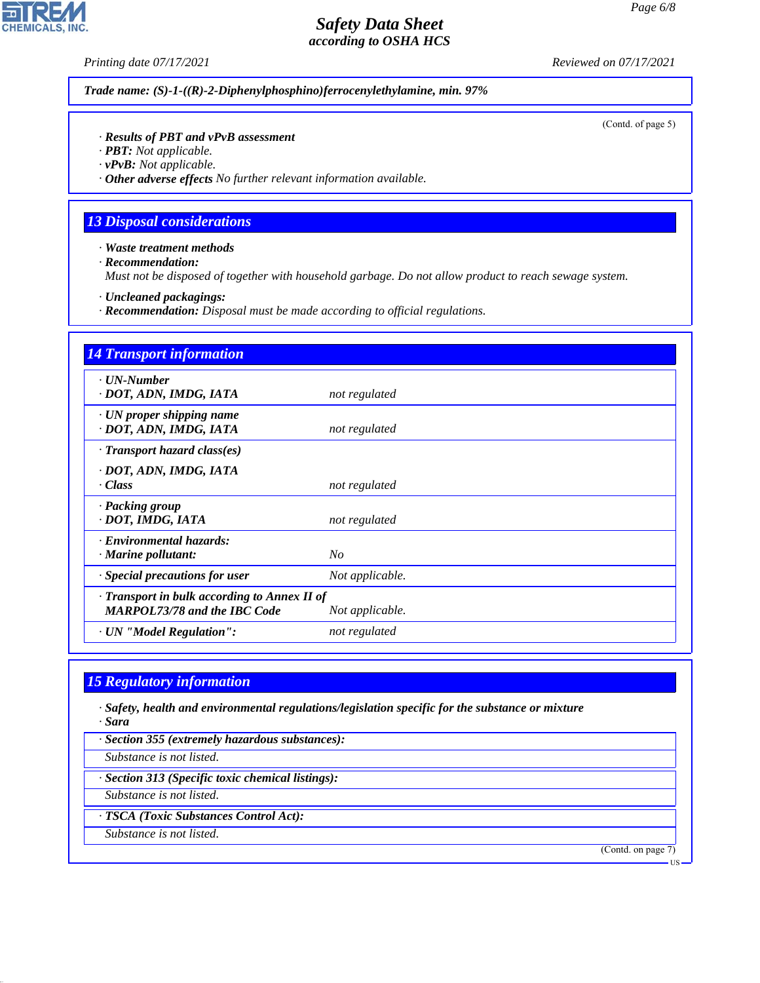**CHEMICALS, INC.** 

*Printing date 07/17/2021 Reviewed on 07/17/2021*

*Trade name: (S)-1-((R)-2-Diphenylphosphino)ferrocenylethylamine, min. 97%*

(Contd. of page 5)

### *· Results of PBT and vPvB assessment*

*· PBT: Not applicable.*

*· vPvB: Not applicable.*

*· Other adverse effects No further relevant information available.*

## *13 Disposal considerations*

*· Waste treatment methods*

*· Recommendation:*

*Must not be disposed of together with household garbage. Do not allow product to reach sewage system.*

*· Uncleaned packagings:*

*· Recommendation: Disposal must be made according to official regulations.*

| <b>14 Transport information</b>                                                     |                 |
|-------------------------------------------------------------------------------------|-----------------|
| $\cdot$ UN-Number<br>· DOT, ADN, IMDG, IATA                                         | not regulated   |
| $\cdot$ UN proper shipping name<br>· DOT, ADN, IMDG, IATA                           | not regulated   |
| $\cdot$ Transport hazard class(es)                                                  |                 |
| · DOT, ADN, IMDG, IATA<br>· Class                                                   | not regulated   |
| · Packing group<br>· DOT, IMDG, IATA                                                | not regulated   |
| · Environmental hazards:<br>$\cdot$ Marine pollutant:                               | $N_{O}$         |
| · Special precautions for user                                                      | Not applicable. |
| · Transport in bulk according to Annex II of<br><b>MARPOL73/78 and the IBC Code</b> | Not applicable. |
| · UN "Model Regulation":                                                            | not regulated   |

# *15 Regulatory information*

*· Safety, health and environmental regulations/legislation specific for the substance or mixture · Sara*

*· Section 355 (extremely hazardous substances):*

*Substance is not listed.*

*· Section 313 (Specific toxic chemical listings):*

*Substance is not listed.*

*· TSCA (Toxic Substances Control Act):*

*Substance is not listed.*

44.1.1

(Contd. on page 7)

US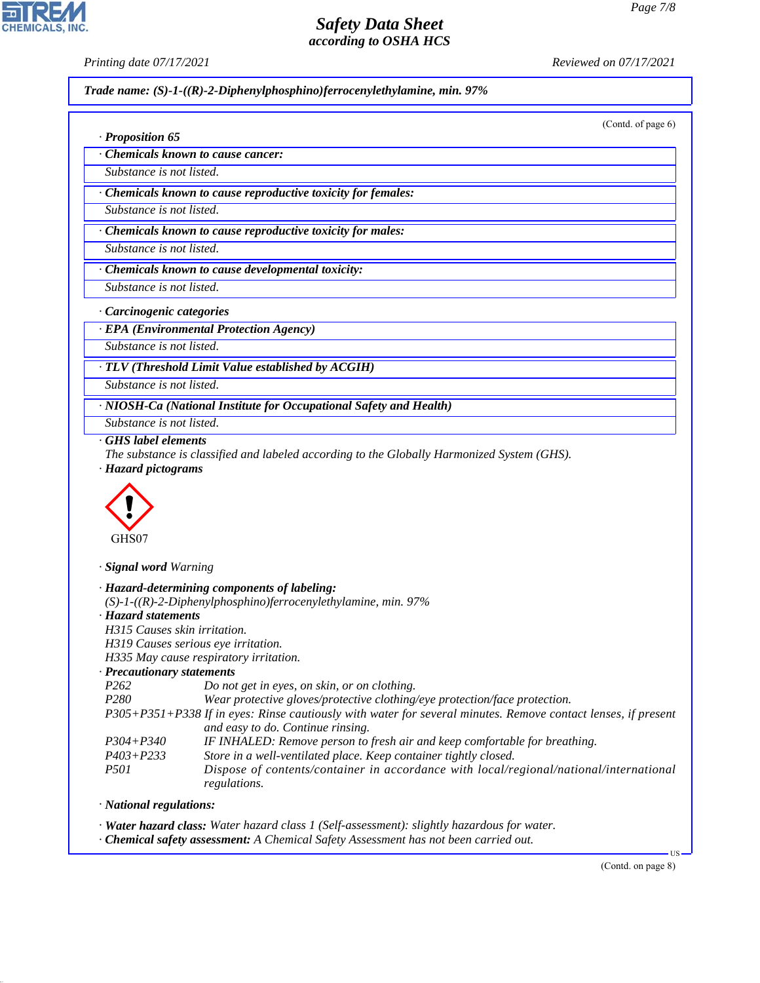*· Proposition 65*

*Printing date 07/17/2021 Reviewed on 07/17/2021*

*Trade name: (S)-1-((R)-2-Diphenylphosphino)ferrocenylethylamine, min. 97%*

(Contd. of page 6)

*· Chemicals known to cause cancer:*

*Substance is not listed.*

*· Chemicals known to cause reproductive toxicity for females:*

*Substance is not listed.*

*· Chemicals known to cause reproductive toxicity for males:*

*Substance is not listed.*

*· Chemicals known to cause developmental toxicity:*

*Substance is not listed.*

*· Carcinogenic categories*

*· EPA (Environmental Protection Agency)*

*Substance is not listed.*

*· TLV (Threshold Limit Value established by ACGIH)*

*Substance is not listed.*

*· NIOSH-Ca (National Institute for Occupational Safety and Health)*

*Substance is not listed.*

*· GHS label elements*

*The substance is classified and labeled according to the Globally Harmonized System (GHS). · Hazard pictograms*



*· Signal word Warning*

|                              | · Hazard-determining components of labeling:                                                                  |
|------------------------------|---------------------------------------------------------------------------------------------------------------|
|                              | $(S)-1-(R)-2-Diphenylphosphino)$ ferrocenylethylamine, min. 97%                                               |
| · Hazard statements          |                                                                                                               |
| H315 Causes skin irritation. |                                                                                                               |
|                              | H319 Causes serious eye irritation.                                                                           |
|                              | H335 May cause respiratory irritation.                                                                        |
| · Precautionary statements   |                                                                                                               |
| P <sub>262</sub>             | Do not get in eyes, on skin, or on clothing.                                                                  |
| <i>P280</i>                  | Wear protective gloves/protective clothing/eye protection/face protection.                                    |
|                              | P305+P351+P338 If in eyes: Rinse cautiously with water for several minutes. Remove contact lenses, if present |
|                              | and easy to do. Continue rinsing.                                                                             |
| $P304 + P340$                | IF INHALED: Remove person to fresh air and keep comfortable for breathing.                                    |
| $P403 + P233$                | Store in a well-ventilated place. Keep container tightly closed.                                              |
| <i>P501</i>                  | Dispose of contents/container in accordance with local/regional/national/international<br>regulations.        |
| · National regulations:      |                                                                                                               |

*· National regulations:*

44.1.1

*· Water hazard class: Water hazard class 1 (Self-assessment): slightly hazardous for water.*

*· Chemical safety assessment: A Chemical Safety Assessment has not been carried out.*

(Contd. on page 8)

US